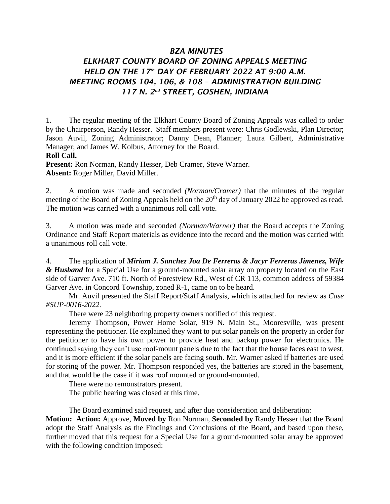## *BZA MINUTES*

## *ELKHART COUNTY BOARD OF ZONING APPEALS MEETING HELD ON THE 17th DAY OF FEBRUARY 2022 AT 9:00 A.M. MEETING ROOMS 104, 106, & 108 – ADMINISTRATION BUILDING 117 N. 2nd STREET, GOSHEN, INDIANA*

1. The regular meeting of the Elkhart County Board of Zoning Appeals was called to order by the Chairperson, Randy Hesser. Staff members present were: Chris Godlewski, Plan Director; Jason Auvil, Zoning Administrator; Danny Dean, Planner; Laura Gilbert, Administrative Manager; and James W. Kolbus, Attorney for the Board.

## **Roll Call.**

**Present:** Ron Norman, Randy Hesser, Deb Cramer, Steve Warner. **Absent:** Roger Miller, David Miller.

2. A motion was made and seconded *(Norman/Cramer)* that the minutes of the regular meeting of the Board of Zoning Appeals held on the  $20<sup>th</sup>$  day of January 2022 be approved as read. The motion was carried with a unanimous roll call vote.

3. A motion was made and seconded *(Norman/Warner)* that the Board accepts the Zoning Ordinance and Staff Report materials as evidence into the record and the motion was carried with a unanimous roll call vote.

4. The application of *Miriam J. Sanchez Joa De Ferreras & Jacyr Ferreras Jimenez, Wife & Husband* for a Special Use for a ground-mounted solar array on property located on the East side of Garver Ave. 710 ft. North of Forestview Rd., West of CR 113, common address of 59384 Garver Ave. in Concord Township, zoned R-1, came on to be heard.

Mr. Auvil presented the Staff Report/Staff Analysis, which is attached for review as *Case #SUP-0016-2022*.

There were 23 neighboring property owners notified of this request.

Jeremy Thompson, Power Home Solar, 919 N. Main St., Mooresville, was present representing the petitioner. He explained they want to put solar panels on the property in order for the petitioner to have his own power to provide heat and backup power for electronics. He continued saying they can't use roof-mount panels due to the fact that the house faces east to west, and it is more efficient if the solar panels are facing south. Mr. Warner asked if batteries are used for storing of the power. Mr. Thompson responded yes, the batteries are stored in the basement, and that would be the case if it was roof mounted or ground-mounted.

There were no remonstrators present.

The public hearing was closed at this time.

The Board examined said request, and after due consideration and deliberation:

**Motion: Action:** Approve, **Moved by** Ron Norman, **Seconded by** Randy Hesser that the Board adopt the Staff Analysis as the Findings and Conclusions of the Board, and based upon these, further moved that this request for a Special Use for a ground-mounted solar array be approved with the following condition imposed: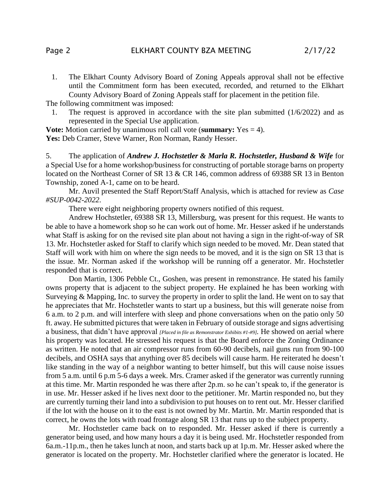1. The Elkhart County Advisory Board of Zoning Appeals approval shall not be effective until the Commitment form has been executed, recorded, and returned to the Elkhart County Advisory Board of Zoning Appeals staff for placement in the petition file.

The following commitment was imposed:

1. The request is approved in accordance with the site plan submitted (1/6/2022) and as represented in the Special Use application.

**Vote:** Motion carried by unanimous roll call vote (**summary:** Yes = 4). Yes: Deb Cramer, Steve Warner, Ron Norman, Randy Hesser.

5. The application of *Andrew J. Hochstetler & Marla R. Hochstetler, Husband & Wife* for a Special Use for a home workshop/business for constructing of portable storage barns on property located on the Northeast Corner of SR 13 & CR 146, common address of 69388 SR 13 in Benton Township, zoned A-1, came on to be heard.

Mr. Auvil presented the Staff Report/Staff Analysis, which is attached for review as *Case #SUP-0042-2022*.

There were eight neighboring property owners notified of this request.

Andrew Hochstetler, 69388 SR 13, Millersburg, was present for this request. He wants to be able to have a homework shop so he can work out of home. Mr. Hesser asked if he understands what Staff is asking for on the revised site plan about not having a sign in the right-of-way of SR 13. Mr. Hochstetler asked for Staff to clarify which sign needed to be moved. Mr. Dean stated that Staff will work with him on where the sign needs to be moved, and it is the sign on SR 13 that is the issue. Mr. Norman asked if the workshop will be running off a generator. Mr. Hochstetler responded that is correct.

Don Martin, 1306 Pebble Ct., Goshen, was present in remonstrance. He stated his family owns property that is adjacent to the subject property. He explained he has been working with Surveying & Mapping, Inc. to survey the property in order to split the land. He went on to say that he appreciates that Mr. Hochstetler wants to start up a business, but this will generate noise from 6 a.m. to 2 p.m. and will interfere with sleep and phone conversations when on the patio only 50 ft. away. He submitted pictures that were taken in February of outside storage and signs advertising a business, that didn't have approval *[Placed in file as Remonstrator Exhibits #1-#9].* He showed on aerial where his property was located. He stressed his request is that the Board enforce the Zoning Ordinance as written. He noted that an air compressor runs from 60-90 decibels, nail guns run from 90-100 decibels, and OSHA says that anything over 85 decibels will cause harm. He reiterated he doesn't like standing in the way of a neighbor wanting to better himself, but this will cause noise issues from 5 a.m. until 6 p.m 5-6 days a week. Mrs. Cramer asked if the generator was currently running at this time. Mr. Martin responded he was there after 2p.m. so he can't speak to, if the generator is in use. Mr. Hesser asked if he lives next door to the petitioner. Mr. Martin responded no, but they are currently turning their land into a subdivision to put houses on to rent out. Mr. Hesser clarified if the lot with the house on it to the east is not owned by Mr. Martin. Mr. Martin responded that is correct, he owns the lots with road frontage along SR 13 that runs up to the subject property.

Mr. Hochstetler came back on to responded. Mr. Hesser asked if there is currently a generator being used, and how many hours a day it is being used. Mr. Hochstetler responded from 6a.m.-11p.m., then he takes lunch at noon, and starts back up at 1p.m. Mr. Hesser asked where the generator is located on the property. Mr. Hochstetler clarified where the generator is located. He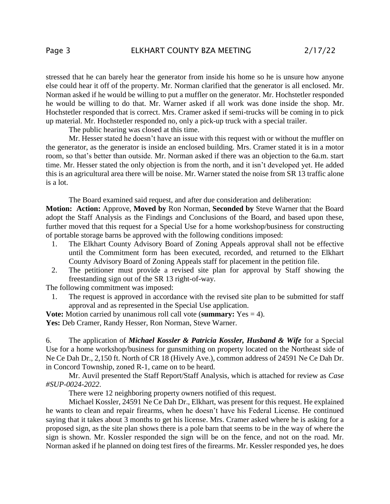stressed that he can barely hear the generator from inside his home so he is unsure how anyone else could hear it off of the property. Mr. Norman clarified that the generator is all enclosed. Mr. Norman asked if he would be willing to put a muffler on the generator. Mr. Hochstetler responded he would be willing to do that. Mr. Warner asked if all work was done inside the shop. Mr. Hochstetler responded that is correct. Mrs. Cramer asked if semi-trucks will be coming in to pick up material. Mr. Hochstetler responded no, only a pick-up truck with a special trailer.

The public hearing was closed at this time.

Mr. Hesser stated he doesn't have an issue with this request with or without the muffler on the generator, as the generator is inside an enclosed building. Mrs. Cramer stated it is in a motor room, so that's better than outside. Mr. Norman asked if there was an objection to the 6a.m. start time. Mr. Hesser stated the only objection is from the north, and it isn't developed yet. He added this is an agricultural area there will be noise. Mr. Warner stated the noise from SR 13 traffic alone is a lot.

The Board examined said request, and after due consideration and deliberation:

**Motion: Action:** Approve, **Moved by** Ron Norman, **Seconded by** Steve Warner that the Board adopt the Staff Analysis as the Findings and Conclusions of the Board, and based upon these, further moved that this request for a Special Use for a home workshop/business for constructing of portable storage barns be approved with the following conditions imposed:

- 1. The Elkhart County Advisory Board of Zoning Appeals approval shall not be effective until the Commitment form has been executed, recorded, and returned to the Elkhart County Advisory Board of Zoning Appeals staff for placement in the petition file.
- 2. The petitioner must provide a revised site plan for approval by Staff showing the freestanding sign out of the SR 13 right-of-way.

The following commitment was imposed:

1. The request is approved in accordance with the revised site plan to be submitted for staff approval and as represented in the Special Use application.

**Vote:** Motion carried by unanimous roll call vote (**summary:** Yes = 4). Yes: Deb Cramer, Randy Hesser, Ron Norman, Steve Warner.

6. The application of *Michael Kossler & Patricia Kossler, Husband & Wife* for a Special Use for a home workshop/business for gunsmithing on property located on the Northeast side of Ne Ce Dah Dr., 2,150 ft. North of CR 18 (Hively Ave.), common address of 24591 Ne Ce Dah Dr. in Concord Township, zoned R-1, came on to be heard.

Mr. Auvil presented the Staff Report/Staff Analysis, which is attached for review as *Case #SUP-0024-2022*.

There were 12 neighboring property owners notified of this request.

Michael Kossler, 24591 Ne Ce Dah Dr., Elkhart, was present for this request. He explained he wants to clean and repair firearms, when he doesn't have his Federal License. He continued saying that it takes about 3 months to get his license. Mrs. Cramer asked where he is asking for a proposed sign, as the site plan shows there is a pole barn that seems to be in the way of where the sign is shown. Mr. Kossler responded the sign will be on the fence, and not on the road. Mr. Norman asked if he planned on doing test fires of the firearms. Mr. Kessler responded yes, he does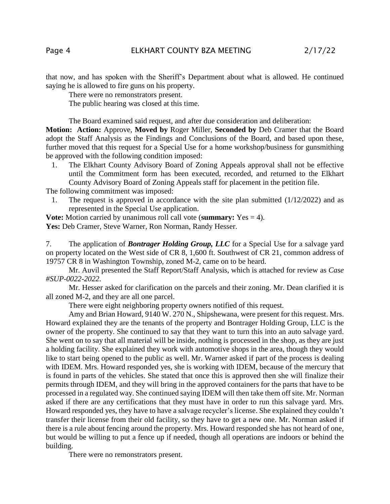that now, and has spoken with the Sheriff's Department about what is allowed. He continued saying he is allowed to fire guns on his property.

There were no remonstrators present.

The public hearing was closed at this time.

The Board examined said request, and after due consideration and deliberation:

**Motion: Action:** Approve, **Moved by** Roger Miller, **Seconded by** Deb Cramer that the Board adopt the Staff Analysis as the Findings and Conclusions of the Board, and based upon these, further moved that this request for a Special Use for a home workshop/business for gunsmithing be approved with the following condition imposed:

1. The Elkhart County Advisory Board of Zoning Appeals approval shall not be effective until the Commitment form has been executed, recorded, and returned to the Elkhart County Advisory Board of Zoning Appeals staff for placement in the petition file.

The following commitment was imposed:

1. The request is approved in accordance with the site plan submitted (1/12/2022) and as represented in the Special Use application.

**Vote:** Motion carried by unanimous roll call vote (**summary:** Yes = 4). Yes: Deb Cramer, Steve Warner, Ron Norman, Randy Hesser.

7. The application of *Bontrager Holding Group, LLC* for a Special Use for a salvage yard on property located on the West side of CR 8, 1,600 ft. Southwest of CR 21, common address of 19757 CR 8 in Washington Township, zoned M-2, came on to be heard.

Mr. Auvil presented the Staff Report/Staff Analysis, which is attached for review as *Case #SUP-0022-2022*.

Mr. Hesser asked for clarification on the parcels and their zoning. Mr. Dean clarified it is all zoned M-2, and they are all one parcel.

There were eight neighboring property owners notified of this request.

Amy and Brian Howard, 9140 W. 270 N., Shipshewana, were present for this request. Mrs. Howard explained they are the tenants of the property and Bontrager Holding Group, LLC is the owner of the property. She continued to say that they want to turn this into an auto salvage yard. She went on to say that all material will be inside, nothing is processed in the shop, as they are just a holding facility. She explained they work with automotive shops in the area, though they would like to start being opened to the public as well. Mr. Warner asked if part of the process is dealing with IDEM. Mrs. Howard responded yes, she is working with IDEM, because of the mercury that is found in parts of the vehicles. She stated that once this is approved then she will finalize their permits through IDEM, and they will bring in the approved containers for the parts that have to be processed in a regulated way. She continued saying IDEM will then take them off site. Mr. Norman asked if there are any certifications that they must have in order to run this salvage yard. Mrs. Howard responded yes, they have to have a salvage recycler's license. She explained they couldn't transfer their license from their old facility, so they have to get a new one. Mr. Norman asked if there is a rule about fencing around the property. Mrs. Howard responded she has not heard of one, but would be willing to put a fence up if needed, though all operations are indoors or behind the building.

There were no remonstrators present.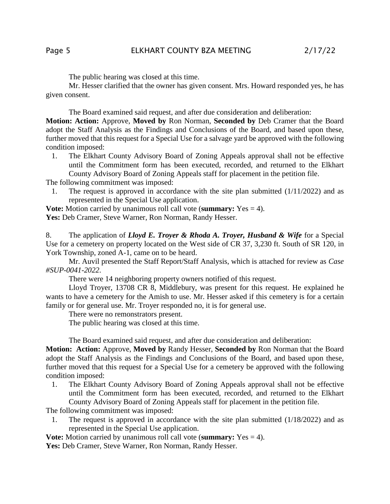The public hearing was closed at this time.

Mr. Hesser clarified that the owner has given consent. Mrs. Howard responded yes, he has given consent.

The Board examined said request, and after due consideration and deliberation:

**Motion: Action:** Approve, **Moved by** Ron Norman, **Seconded by** Deb Cramer that the Board adopt the Staff Analysis as the Findings and Conclusions of the Board, and based upon these, further moved that this request for a Special Use for a salvage yard be approved with the following condition imposed:

1. The Elkhart County Advisory Board of Zoning Appeals approval shall not be effective until the Commitment form has been executed, recorded, and returned to the Elkhart County Advisory Board of Zoning Appeals staff for placement in the petition file.

The following commitment was imposed:

1. The request is approved in accordance with the site plan submitted (1/11/2022) and as represented in the Special Use application.

**Vote:** Motion carried by unanimous roll call vote (**summary:** Yes = 4). Yes: Deb Cramer, Steve Warner, Ron Norman, Randy Hesser.

8. The application of *Lloyd E. Troyer & Rhoda A. Troyer, Husband & Wife* for a Special Use for a cemetery on property located on the West side of CR 37, 3,230 ft. South of SR 120, in York Township, zoned A-1, came on to be heard.

Mr. Auvil presented the Staff Report/Staff Analysis, which is attached for review as *Case #SUP-0041-2022*.

There were 14 neighboring property owners notified of this request.

Lloyd Troyer, 13708 CR 8, Middlebury, was present for this request. He explained he wants to have a cemetery for the Amish to use. Mr. Hesser asked if this cemetery is for a certain family or for general use. Mr. Troyer responded no, it is for general use.

There were no remonstrators present.

The public hearing was closed at this time.

The Board examined said request, and after due consideration and deliberation:

**Motion: Action:** Approve, **Moved by** Randy Hesser, **Seconded by** Ron Norman that the Board adopt the Staff Analysis as the Findings and Conclusions of the Board, and based upon these, further moved that this request for a Special Use for a cemetery be approved with the following condition imposed:

1. The Elkhart County Advisory Board of Zoning Appeals approval shall not be effective until the Commitment form has been executed, recorded, and returned to the Elkhart County Advisory Board of Zoning Appeals staff for placement in the petition file.

The following commitment was imposed:

1. The request is approved in accordance with the site plan submitted (1/18/2022) and as represented in the Special Use application.

**Vote:** Motion carried by unanimous roll call vote (**summary:** Yes = 4).

Yes: Deb Cramer, Steve Warner, Ron Norman, Randy Hesser.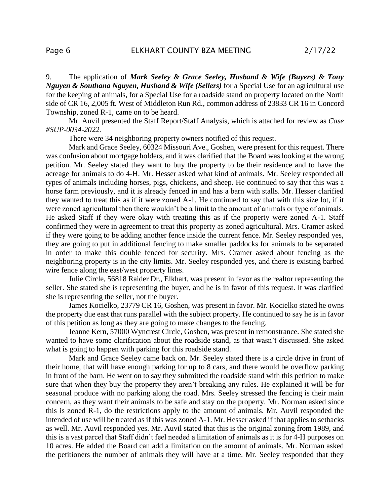9. The application of *Mark Seeley & Grace Seeley, Husband & Wife (Buyers) & Tony Nguyen & Southana Nguyen, Husband & Wife (Sellers)* for a Special Use for an agricultural use for the keeping of animals, for a Special Use for a roadside stand on property located on the North side of CR 16, 2,005 ft. West of Middleton Run Rd., common address of 23833 CR 16 in Concord Township, zoned R-1, came on to be heard.

Mr. Auvil presented the Staff Report/Staff Analysis, which is attached for review as *Case #SUP-0034-2022*.

There were 34 neighboring property owners notified of this request.

Mark and Grace Seeley, 60324 Missouri Ave., Goshen, were present for this request. There was confusion about mortgage holders, and it was clarified that the Board was looking at the wrong petition. Mr. Seeley stated they want to buy the property to be their residence and to have the acreage for animals to do 4-H. Mr. Hesser asked what kind of animals. Mr. Seeley responded all types of animals including horses, pigs, chickens, and sheep. He continued to say that this was a horse farm previously, and it is already fenced in and has a barn with stalls. Mr. Hesser clarified they wanted to treat this as if it were zoned A-1. He continued to say that with this size lot, if it were zoned agricultural then there wouldn't be a limit to the amount of animals or type of animals. He asked Staff if they were okay with treating this as if the property were zoned A-1. Staff confirmed they were in agreement to treat this property as zoned agricultural. Mrs. Cramer asked if they were going to be adding another fence inside the current fence. Mr. Seeley responded yes, they are going to put in additional fencing to make smaller paddocks for animals to be separated in order to make this double fenced for security. Mrs. Cramer asked about fencing as the neighboring property is in the city limits. Mr. Seeley responded yes, and there is existing barbed wire fence along the east/west property lines.

Julie Circle, 56818 Raider Dr., Elkhart, was present in favor as the realtor representing the seller. She stated she is representing the buyer, and he is in favor of this request. It was clarified she is representing the seller, not the buyer.

James Kocielko, 23779 CR 16, Goshen, was present in favor. Mr. Kocielko stated he owns the property due east that runs parallel with the subject property. He continued to say he is in favor of this petition as long as they are going to make changes to the fencing.

Jeanne Kern, 57000 Wyncrest Circle, Goshen, was present in remonstrance. She stated she wanted to have some clarification about the roadside stand, as that wasn't discussed. She asked what is going to happen with parking for this roadside stand.

Mark and Grace Seeley came back on. Mr. Seeley stated there is a circle drive in front of their home, that will have enough parking for up to 8 cars, and there would be overflow parking in front of the barn. He went on to say they submitted the roadside stand with this petition to make sure that when they buy the property they aren't breaking any rules. He explained it will be for seasonal produce with no parking along the road. Mrs. Seeley stressed the fencing is their main concern, as they want their animals to be safe and stay on the property. Mr. Norman asked since this is zoned R-1, do the restrictions apply to the amount of animals. Mr. Auvil responded the intended of use will be treated as if this was zoned A-1. Mr. Hesser asked if that applies to setbacks as well. Mr. Auvil responded yes. Mr. Auvil stated that this is the original zoning from 1989, and this is a vast parcel that Staff didn't feel needed a limitation of animals as it is for 4-H purposes on 10 acres. He added the Board can add a limitation on the amount of animals. Mr. Norman asked the petitioners the number of animals they will have at a time. Mr. Seeley responded that they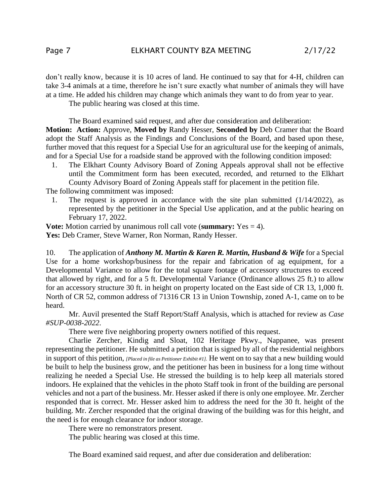don't really know, because it is 10 acres of land. He continued to say that for 4-H, children can take 3-4 animals at a time, therefore he isn't sure exactly what number of animals they will have at a time. He added his children may change which animals they want to do from year to year.

The public hearing was closed at this time.

The Board examined said request, and after due consideration and deliberation: **Motion: Action:** Approve, **Moved by** Randy Hesser, **Seconded by** Deb Cramer that the Board adopt the Staff Analysis as the Findings and Conclusions of the Board, and based upon these, further moved that this request for a Special Use for an agricultural use for the keeping of animals, and for a Special Use for a roadside stand be approved with the following condition imposed:

1. The Elkhart County Advisory Board of Zoning Appeals approval shall not be effective until the Commitment form has been executed, recorded, and returned to the Elkhart County Advisory Board of Zoning Appeals staff for placement in the petition file.

The following commitment was imposed:

1. The request is approved in accordance with the site plan submitted (1/14/2022), as represented by the petitioner in the Special Use application, and at the public hearing on February 17, 2022.

**Vote:** Motion carried by unanimous roll call vote (**summary:** Yes = 4).

Yes: Deb Cramer, Steve Warner, Ron Norman, Randy Hesser.

10. The application of *Anthony M. Martin & Karen R. Martin, Husband & Wife* for a Special Use for a home workshop/business for the repair and fabrication of ag equipment, for a Developmental Variance to allow for the total square footage of accessory structures to exceed that allowed by right, and for a 5 ft. Developmental Variance (Ordinance allows 25 ft.) to allow for an accessory structure 30 ft. in height on property located on the East side of CR 13, 1,000 ft. North of CR 52, common address of 71316 CR 13 in Union Township, zoned A-1, came on to be heard.

Mr. Auvil presented the Staff Report/Staff Analysis, which is attached for review as *Case #SUP-0038-2022*.

There were five neighboring property owners notified of this request.

Charlie Zercher, Kindig and Sloat, 102 Heritage Pkwy., Nappanee, was present representing the petitioner. He submitted a petition that is signed by all of the residential neighbors in support of this petition, *[Placed in file as Petitioner Exhibit #1].* He went on to say that a new building would be built to help the business grow, and the petitioner has been in business for a long time without realizing he needed a Special Use. He stressed the building is to help keep all materials stored indoors. He explained that the vehicles in the photo Staff took in front of the building are personal vehicles and not a part of the business. Mr. Hesser asked if there is only one employee. Mr. Zercher responded that is correct. Mr. Hesser asked him to address the need for the 30 ft. height of the building. Mr. Zercher responded that the original drawing of the building was for this height, and the need is for enough clearance for indoor storage.

There were no remonstrators present.

The public hearing was closed at this time.

The Board examined said request, and after due consideration and deliberation: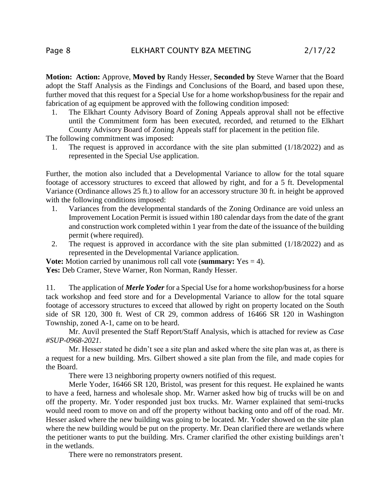**Motion: Action:** Approve, **Moved by** Randy Hesser, **Seconded by** Steve Warner that the Board adopt the Staff Analysis as the Findings and Conclusions of the Board, and based upon these, further moved that this request for a Special Use for a home workshop/business for the repair and fabrication of ag equipment be approved with the following condition imposed:

1. The Elkhart County Advisory Board of Zoning Appeals approval shall not be effective until the Commitment form has been executed, recorded, and returned to the Elkhart County Advisory Board of Zoning Appeals staff for placement in the petition file.

The following commitment was imposed:

1. The request is approved in accordance with the site plan submitted (1/18/2022) and as represented in the Special Use application.

Further, the motion also included that a Developmental Variance to allow for the total square footage of accessory structures to exceed that allowed by right, and for a 5 ft. Developmental Variance (Ordinance allows 25 ft.) to allow for an accessory structure 30 ft. in height be approved with the following conditions imposed:

- 1. Variances from the developmental standards of the Zoning Ordinance are void unless an Improvement Location Permit is issued within 180 calendar days from the date of the grant and construction work completed within 1 year from the date of the issuance of the building permit (where required).
- 2. The request is approved in accordance with the site plan submitted (1/18/2022) and as represented in the Developmental Variance application.

**Vote:** Motion carried by unanimous roll call vote (**summary:** Yes = 4). Yes: Deb Cramer, Steve Warner, Ron Norman, Randy Hesser.

11. The application of *Merle Yoder* for a Special Use for a home workshop/business for a horse tack workshop and feed store and for a Developmental Variance to allow for the total square footage of accessory structures to exceed that allowed by right on property located on the South side of SR 120, 300 ft. West of CR 29, common address of 16466 SR 120 in Washington Township, zoned A-1, came on to be heard.

Mr. Auvil presented the Staff Report/Staff Analysis, which is attached for review as *Case #SUP-0968-2021*.

Mr. Hesser stated he didn't see a site plan and asked where the site plan was at, as there is a request for a new building. Mrs. Gilbert showed a site plan from the file, and made copies for the Board.

There were 13 neighboring property owners notified of this request.

Merle Yoder, 16466 SR 120, Bristol, was present for this request. He explained he wants to have a feed, harness and wholesale shop. Mr. Warner asked how big of trucks will be on and off the property. Mr. Yoder responded just box trucks. Mr. Warner explained that semi-trucks would need room to move on and off the property without backing onto and off of the road. Mr. Hesser asked where the new building was going to be located. Mr. Yoder showed on the site plan where the new building would be put on the property. Mr. Dean clarified there are wetlands where the petitioner wants to put the building. Mrs. Cramer clarified the other existing buildings aren't in the wetlands.

There were no remonstrators present.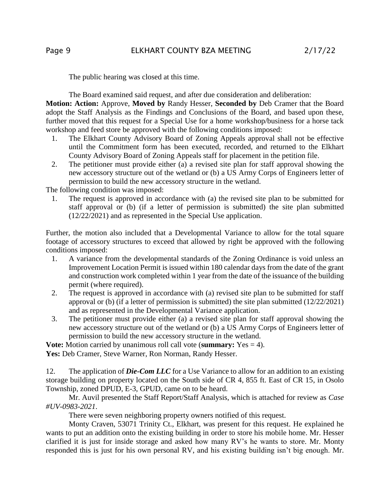The public hearing was closed at this time.

The Board examined said request, and after due consideration and deliberation: **Motion: Action:** Approve, **Moved by** Randy Hesser, **Seconded by** Deb Cramer that the Board adopt the Staff Analysis as the Findings and Conclusions of the Board, and based upon these, further moved that this request for a Special Use for a home workshop/business for a horse tack workshop and feed store be approved with the following conditions imposed:

- 1. The Elkhart County Advisory Board of Zoning Appeals approval shall not be effective until the Commitment form has been executed, recorded, and returned to the Elkhart County Advisory Board of Zoning Appeals staff for placement in the petition file.
- 2. The petitioner must provide either (a) a revised site plan for staff approval showing the new accessory structure out of the wetland or (b) a US Army Corps of Engineers letter of permission to build the new accessory structure in the wetland.

The following condition was imposed:

1. The request is approved in accordance with (a) the revised site plan to be submitted for staff approval or (b) (if a letter of permission is submitted) the site plan submitted (12/22/2021) and as represented in the Special Use application.

Further, the motion also included that a Developmental Variance to allow for the total square footage of accessory structures to exceed that allowed by right be approved with the following conditions imposed:

- 1. A variance from the developmental standards of the Zoning Ordinance is void unless an Improvement Location Permit is issued within 180 calendar days from the date of the grant and construction work completed within 1 year from the date of the issuance of the building permit (where required).
- 2. The request is approved in accordance with (a) revised site plan to be submitted for staff approval or (b) (if a letter of permission is submitted) the site plan submitted (12/22/2021) and as represented in the Developmental Variance application.
- 3. The petitioner must provide either (a) a revised site plan for staff approval showing the new accessory structure out of the wetland or (b) a US Army Corps of Engineers letter of permission to build the new accessory structure in the wetland.

**Vote:** Motion carried by unanimous roll call vote (**summary:** Yes = 4). Yes: Deb Cramer, Steve Warner, Ron Norman, Randy Hesser.

12. The application of *Die-Com LLC* for a Use Variance to allow for an addition to an existing storage building on property located on the South side of CR 4, 855 ft. East of CR 15, in Osolo Township, zoned DPUD, E-3, GPUD, came on to be heard.

Mr. Auvil presented the Staff Report/Staff Analysis, which is attached for review as *Case #UV-0983-2021*.

There were seven neighboring property owners notified of this request.

Monty Craven, 53071 Trinity Ct., Elkhart, was present for this request. He explained he wants to put an addition onto the existing building in order to store his mobile home. Mr. Hesser clarified it is just for inside storage and asked how many RV's he wants to store. Mr. Monty responded this is just for his own personal RV, and his existing building isn't big enough. Mr.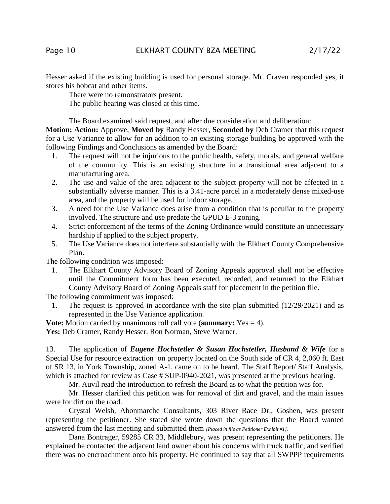Hesser asked if the existing building is used for personal storage. Mr. Craven responded yes, it stores his bobcat and other items.

There were no remonstrators present.

The public hearing was closed at this time.

The Board examined said request, and after due consideration and deliberation:

**Motion: Action:** Approve, **Moved by** Randy Hesser, **Seconded by** Deb Cramer that this request for a Use Variance to allow for an addition to an existing storage building be approved with the following Findings and Conclusions as amended by the Board:

- 1. The request will not be injurious to the public health, safety, morals, and general welfare of the community. This is an existing structure in a transitional area adjacent to a manufacturing area.
- 2. The use and value of the area adjacent to the subject property will not be affected in a substantially adverse manner. This is a 3.41-acre parcel in a moderately dense mixed-use area, and the property will be used for indoor storage.
- 3. A need for the Use Variance does arise from a condition that is peculiar to the property involved. The structure and use predate the GPUD E-3 zoning.
- 4. Strict enforcement of the terms of the Zoning Ordinance would constitute an unnecessary hardship if applied to the subject property.
- 5. The Use Variance does not interfere substantially with the Elkhart County Comprehensive Plan.

The following condition was imposed:

1. The Elkhart County Advisory Board of Zoning Appeals approval shall not be effective until the Commitment form has been executed, recorded, and returned to the Elkhart County Advisory Board of Zoning Appeals staff for placement in the petition file.

The following commitment was imposed:

1. The request is approved in accordance with the site plan submitted (12/29/2021) and as represented in the Use Variance application.

**Vote:** Motion carried by unanimous roll call vote (**summary:** Yes = 4).

Yes: Deb Cramer, Randy Hesser, Ron Norman, Steve Warner.

13. The application of *Eugene Hochstetler & Susan Hochstetler, Husband & Wife* for a Special Use for resource extraction on property located on the South side of CR 4, 2,060 ft. East of SR 13, in York Township, zoned A-1, came on to be heard. The Staff Report/ Staff Analysis, which is attached for review as Case # SUP-0940-2021, was presented at the previous hearing.

Mr. Auvil read the introduction to refresh the Board as to what the petition was for.

Mr. Hesser clarified this petition was for removal of dirt and gravel, and the main issues were for dirt on the road.

Crystal Welsh, Abonmarche Consultants, 303 River Race Dr., Goshen, was present representing the petitioner. She stated she wrote down the questions that the Board wanted answered from the last meeting and submitted them *[Placed in file as Petitioner Exhibit #1].*

Dana Bontrager, 59285 CR 33, Middlebury, was present representing the petitioners. He explained he contacted the adjacent land owner about his concerns with truck traffic, and verified there was no encroachment onto his property. He continued to say that all SWPPP requirements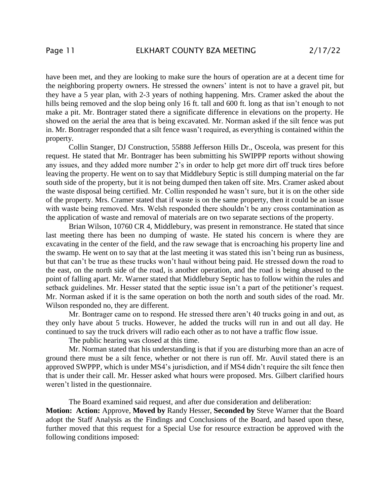have been met, and they are looking to make sure the hours of operation are at a decent time for the neighboring property owners. He stressed the owners' intent is not to have a gravel pit, but they have a 5 year plan, with 2-3 years of nothing happening. Mrs. Cramer asked the about the hills being removed and the slop being only 16 ft. tall and 600 ft. long as that isn't enough to not make a pit. Mr. Bontrager stated there a significate difference in elevations on the property. He showed on the aerial the area that is being excavated. Mr. Norman asked if the silt fence was put in. Mr. Bontrager responded that a silt fence wasn't required, as everything is contained within the property.

Collin Stanger, DJ Construction, 55888 Jefferson Hills Dr., Osceola, was present for this request. He stated that Mr. Bontrager has been submitting his SWIPPP reports without showing any issues, and they added more number 2's in order to help get more dirt off truck tires before leaving the property. He went on to say that Middlebury Septic is still dumping material on the far south side of the property, but it is not being dumped then taken off site. Mrs. Cramer asked about the waste disposal being certified. Mr. Collin responded he wasn't sure, but it is on the other side of the property. Mrs. Cramer stated that if waste is on the same property, then it could be an issue with waste being removed. Mrs. Welsh responded there shouldn't be any cross contamination as the application of waste and removal of materials are on two separate sections of the property.

Brian Wilson, 10760 CR 4, Middlebury, was present in remonstrance. He stated that since last meeting there has been no dumping of waste. He stated his concern is where they are excavating in the center of the field, and the raw sewage that is encroaching his property line and the swamp. He went on to say that at the last meeting it was stated this isn't being run as business, but that can't be true as these trucks won't haul without being paid. He stressed down the road to the east, on the north side of the road, is another operation, and the road is being abused to the point of falling apart. Mr. Warner stated that Middlebury Septic has to follow within the rules and setback guidelines. Mr. Hesser stated that the septic issue isn't a part of the petitioner's request. Mr. Norman asked if it is the same operation on both the north and south sides of the road. Mr. Wilson responded no, they are different.

Mr. Bontrager came on to respond. He stressed there aren't 40 trucks going in and out, as they only have about 5 trucks. However, he added the trucks will run in and out all day. He continued to say the truck drivers will radio each other as to not have a traffic flow issue.

The public hearing was closed at this time.

Mr. Norman stated that his understanding is that if you are disturbing more than an acre of ground there must be a silt fence, whether or not there is run off. Mr. Auvil stated there is an approved SWPPP, which is under MS4's jurisdiction, and if MS4 didn't require the silt fence then that is under their call. Mr. Hesser asked what hours were proposed. Mrs. Gilbert clarified hours weren't listed in the questionnaire.

The Board examined said request, and after due consideration and deliberation: **Motion: Action:** Approve, **Moved by** Randy Hesser, **Seconded by** Steve Warner that the Board adopt the Staff Analysis as the Findings and Conclusions of the Board, and based upon these, further moved that this request for a Special Use for resource extraction be approved with the following conditions imposed: